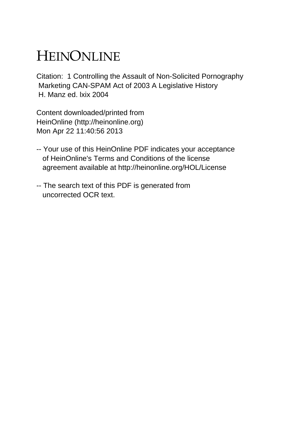# HEINONLINE

Citation: 1 Controlling the Assault of Non-Solicited Pornography Marketing CAN-SPAM Act of 2003 A Legislative History H. Manz ed. lxix 2004

Content downloaded/printed from HeinOnline (http://heinonline.org) Mon Apr 22 11:40:56 2013

- -- Your use of this HeinOnline PDF indicates your acceptance of HeinOnline's Terms and Conditions of the license agreement available at http://heinonline.org/HOL/License
- -- The search text of this PDF is generated from uncorrected OCR text.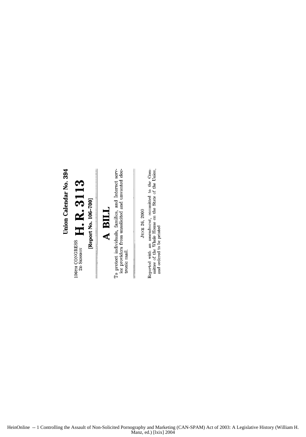Union Calendar No. 394

 $\frac{106}{{20}}$  bessors H.R.3113

[Report No. 106-700]

# A BILL

 $\bar{\mathfrak{a}}$ 'C) 'C) CC oteet,

 $\rm JUXE$  26, 2000

C 44~  $\approx$   $\approx$ erer<br>طوا<br>cole 7<br>ಕೆ ಕ ್ಮ ಲೈ t ~\*C) C,.- -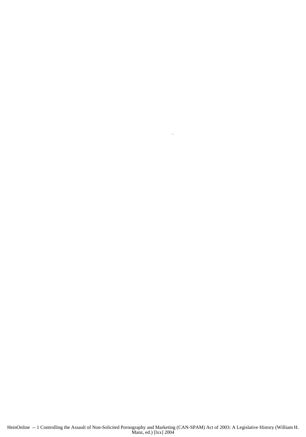HeinOnline -- 1 Controlling the Assault of Non-Solicited Pornography and Marketing (CAN-SPAM) Act of 2003: A Legislative History (William H. Manz, ed.) [lxx] 2004

 $\ddot{\phantom{0}}$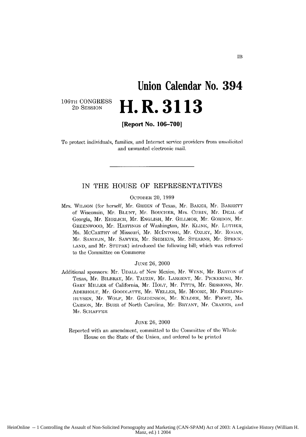# **Union Calendar No. 394 H.R. 3113**

106TH CONGRESS<br>2D SESSION

**[Report No. 106-700]**

To protect individuals, families, and Internet service providers from unsolicited and unwanted electronic mail.

#### **IN** THE **HOUSE** OF REPRESENTATIVES

#### OCTOBER 20, 1999

Mrs. WILSON (for herself, Mr. GREEN of Texas, Mr. BAKER, Mr. BARRETT of Wisconsin, Mr. BLUNT, Mr. -BOUCHER, Mrs. **CIUBIN,** Mr. DEAL of Georgia, Mr. EIImIuGI, Mr. **ENGIASH,** Mr. GILLMOR, MI'. GORDON, Mr. GREENWOOD, Mr. HASTINGS of Washington, Mr. KLINK, Mr. LUTHER, Ms. McCARTHY of Missouri, Mr. McINTOSH, Mr. OXLEY, Mr. ROGAN, Mr. SANDIAN, Mr. SAWYER, MI. **SHIMKUS,** Mr. S'TEARNS, Mr. STIWIcK-LAND, and Mr. S'UPAK) introduced the following bill; which was referred to the Committee on Commerce

#### **JUNE 26,** 2000

Additional sponsors: Mr. UDALL of New Mexico, Mr. WYNN, Mr. BAWtON of Texas, Mr. BILBIAY, Mr. TAUZIN, Mr. LARGENT, Mr. PICKERINC, Mr. GaRY MILLm of California, Mr. HoU', Mr. **PITTS,** Mr. **SESSIONS,** Mr. ADERHOLT, Mr. GOODLATTE, Mr. WELLER, Mr. MOORE, Mr. FRELING-HIUYSEN, Mr. WOLF, Mr. **GE.ijDENSON,** Mr. KILDEE, Mr. FROST, Ms. CARSON, Mr. BURR of North Carolina, Mr. BRYANT, Mr. CRAMER, and Mr. SCHAFFER

#### **JUNE 26,** 2000

Reported with an amendment, committed to the Committee of the Whole House on the State of the Union, and ordered to **be** printed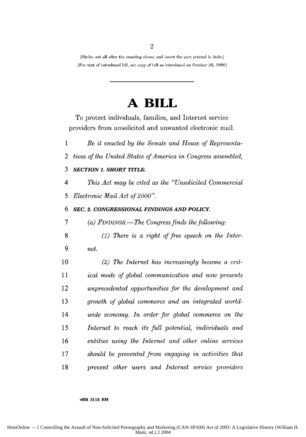**IStrike out all after the enacting clause and insert the part printed in italie]** [For text of introduced bill, see copy of bill as introduced on October 20, 1999]

## **A BILL**

To protect individuals, families, and Internet service providers from unsolicited and unwanted electronic mail.

*Be it enacted by the Senate and House qf Representa-tives of the United States of America in Congress assembled, SECTION 1. SHORT TITLE. 4 Tis Act may be cited as the "Unsolicited Commercial Electronic Mail Act of 2000". 6 SEC. 2. CONGRESSIONAL FINDINGS AND POLICY. 7 (a) FINDIvGS.-ITe Congress finds the bllowing: (1) There is a right of free speech on the Inter-9 net. (2) The Internet has increasingly become a crit-11 ical mode of global communication and now presents unprecedented opportunities ]br the development and growth of global commerce and an integrated world-wide economy. In order for global commerce on the 15 Internet to reach its full potential, individuals and entities using the Internet and other online services should be prevented from engaging in activities that prevent other users and Internet service providers*

#### **.HR 3113 RH**

2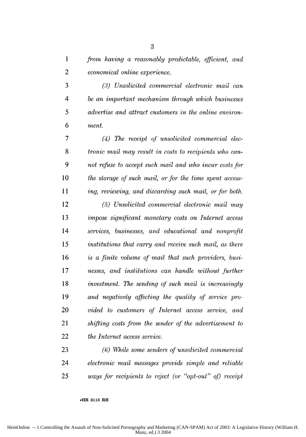*from having a reasonably predictable, efficient, and economical online experience.*

*(3) Unsolicited commercial electronic mail can 4 be an important mechanism through which businesses 5 advertise and attract customers in the online environ-6 ment.*

*7 (4) The receipt of unsolicited commercial elec-tronic mail may result in costs to recipients who can-not refitse to accept such mail and who incur costs fbr the storage of such mail, or for the time spent access-ing, reviewing, and discarding such mail, or for both.* 

*(5) Unsolicited commercial electronic mail may impose significant monetary costs on Internet access services, businesses, and educational and nonprofit 15 institutions that carry and receive such mail, as there is a finite volume of mail that such providers, busi-nesses, and institutions can handle without further investment. The sending of such mail is increasingly* 19 and negatively affecting the quality of service pro-*vided to customers of Internet access service, and shifting costs from the sender of the advertisement to the Internet access service.*

*(6) While some senders of unsolicited commercial electronic mail messages provide simple and reliable* 25 ways for recipients to reject (or "opt-out" of) receipt

#### **.HR 3113 RH**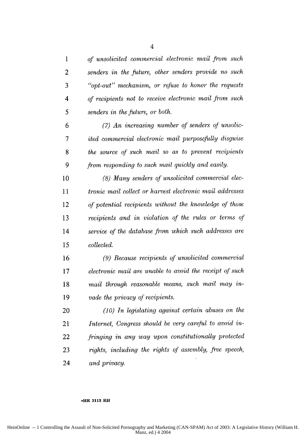*1 of unsolicited commercial electronic mail from such senders in the future, other senders provide no such "opt-out" mechanism, or refutse to honor the requests 4 of recipients not to receive electronic mail from such senders in the future, or both.*

*(7) An increasing number of senders of unsolic-7 ited commercial electronic mail purposefully disguise the source of' such mail so as to prevent recipients 9 from responding to such mail quickly and easily.*

10 (8) Many senders of unsolicited commercial elec-*11 tronic mail collect or harvest electronic mail addresses of potential recipients without the knowledge of those recipients and in violation of the rules or terms of service of the database from which such addresses are 15 collected.*

*(9) Because recipients of unsolicited commercial electronic mail are unable to avoid the receipt of such mail through reasonable means, such mail may in-vade the privacy qf recipients.*

*(10) In legislating against certain abuses on the Internet, Congress should be very careful to avoid in-fringing in any way upon constitutionally protected rights, including the rights of assembly, free speech, and privacy.*

#### **-HR 3113 RH**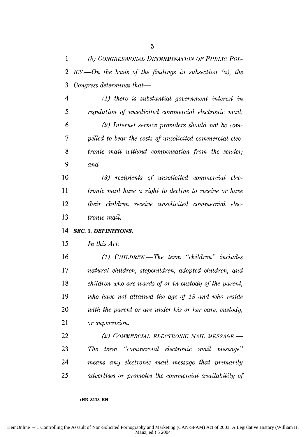(b) *CONGRESSIONAL DETERMINATION OF PUBLIC POL-iCY.-On the basis of the findings in subsection (a), the Congress determines that-*

*(1) there is substantial government interest in 5 regulation of unsolicited commercial electronic mail; 6 (2) Internet service providers should not be corn-7 pelled to bear the costs of unsolicited commercial elec-tronic mail without compensation from the sender; and*

*(3) recipients of' unsolicited commercial elec-tronic mail have a right to decline to receive or have their children receive unsolicited commercial elec-tronic mail.*

#### *SEC. 3. DEFINITIONS.*

#### *In this Act:*

*(1) CHILDREN.-lhe term "children" includes natural children, stepchildren, adopted children, and children who are wards of' or in custody of the parent, who have not attained the age of 18 and who reside with the parent or are under his or her care, custody, or supervision.*

*(2) COMMERCIAL ELECTRONIC MAIL MESSAGE.- The term "commercial electronic mail message" means any electronic mail message that primarily advertises or promotes the commercial availability of*

#### **-HR 3113 RH**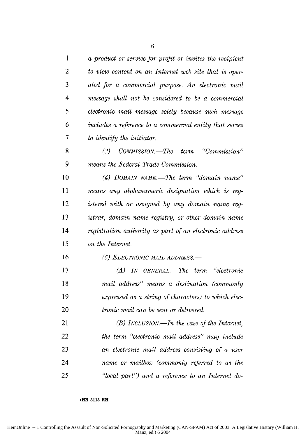*z a product or service for profit or invites the recipient to view content on an Internet web site that is oper-ated Jbr a commercial purpose. An electronic mail 4 message shall not be considered to be a commercial 5 electronic mail message solely because such message includes a refrrence to a commercial entity that serves 7 to identify the initiator.* **(3)** *COMMISSION.-The term "Commission" 9 means the Federal Trade Commission.* (4) *DOMAIN NAME.-The tern "domain name" means any alphanumeric designation which is reg-istered with or assigned by any domain name reg-istrar, domain name registry, or other domain name registration authority as part of an electronic address on the Internet. 16 (5) ELECTRONIC MAIL ADDRESS.- (A) IN GENERAL-Te term "electronic mail address" means a destination (commonly expressed as a string of characters) to which elec-tronic mail can be sent or delivered. (B) INCLUSION.—In the case of the Internet, the term "electronic mail address" may include an electronic mail address consisting of a user name or mailbox (commonly refrrred to as the "local part") and a reference to an Internet do-*

#### **\*HR 3113 RH**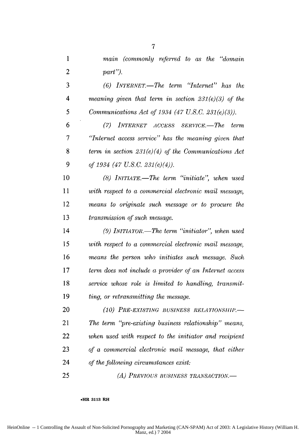*main (commonly referred to as the "domain part"). (6) INTERNET-The term "Internet" has* the *meaning given that term in section 231(e)(3) of the 5 Communications Act of 1934 (47 U.S.C. 231 (e)(3)). (7) INTERNET ACCESS sER, VICE.-The term "Internet access service" has the meaning given that term in section 231(e)(4) of the Communications Act 9 of 1934 (47 U.S.C. 231(e)(4)). (8) INITIATE.-The term "initiate". when used with respect to a commercial electronic mail message, means to originate such message or to procure the transmission of such message. (9) INITIATOR. -The term "initiator" when used with respect to a commercial electronic mail message, means the person who initiates such message. Such term does not include a provider of an Internet access service whose role is limited to handling, transmit-ting, or retransmitting the message. (10) PRE-EXISTING BUSINESS RELATIONSHIP.- The term "pre-existing business relationship" means, when used with respect to the initiator and recipient of a commercial electronic mail message, that either of the Jbllowing circumstances exist: (A) PREVIOUS BUSINESS TRANSACTION.-*

#### **.HR 3113 RH**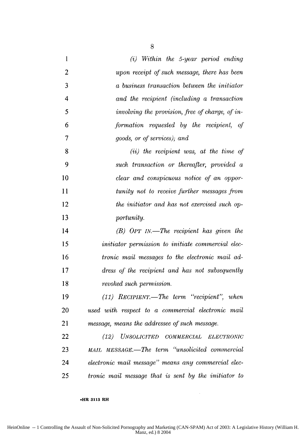- *(i) Within the 5-year period ending upon receipt of such message, there has been a business transaction between the initiator 4 and the recipient (including a transaction 5 involving the provision, free of charge, of in-6 formation requested by the recipient, qf 7 goods, or of services); and (ii) the recipient was, at the time of 9 such transaction or thereafter, provided a clear and conspicuous notice of an oppor-*11 tunity not to receive further messages from *the initiator and has not exercised such op-portunity. (B) OPI IN.-The recipient has given the initiator permission to initiate commercial elec-tronic mail messages to the electronic mail ad-dress of the recipient and has not subsequently revoked such permission. (11) RECIPIENT.-The term "recipient",* when *used with respect to a commercial electronic mail message, means the addressee of such message. (12) UNSOLICITED COMMERCIAL ELEC''RONIC MAIL MESSAGE.-The term "unsolicited commercial electronic mail message" means any commercial elec-*
- *tronic mail message that is sent by the initiator to*

#### **.11'1 3113 RH**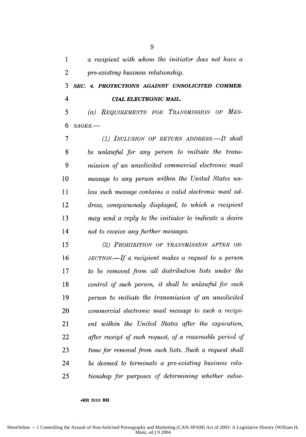*a recipient with whom the initiator does not have a pre-existing business relationship.*

### *SEC. 4. PROTECTIONS AGAINST UNSOLICITED COMMER. CIAL ELECTRONIC MAIL.*

*5 (a) REQUIREMENTS FOR TRAWSMISSION OF MES-6 SAGES.-*

*7 (1) IVCLUSION OF RETURN ADDRESS.-It shall be unlawful for any person to initiate the trans-mission of an unsolicited commercial electronic mail message to any person within the United States un-less such message contains a valid electronic mail ad-dress, conspicuously displayed, to which a recipient may send a reply to the initiator to indicate a desire not to receive any firther messages.*

(2) *PROHIBITION OF TRANSMISSION AFTER OB-JECTION.-If a recipient makes a request to a person to be removed from all distribution lists under the control qf such person, it shall be unlawful Jbr such person to initiate the transmission of an unsolicited commercial electronic mail message to such a recipi-ent within the United States after the expiration, after receipt of such request, qf a reasonable period of time fbr removal from such lists. Such a request shall be deemed to terminate a pre-existing business rela-tionship jbr purposes of determining whether subse-*

#### **.HR 3113 RH**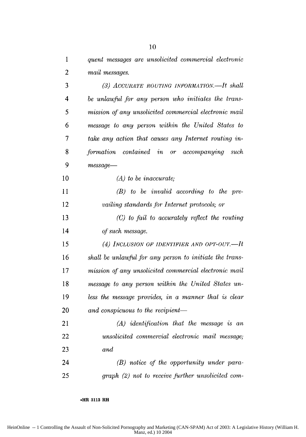*quent messages are unsolicited commercial electronic mail messages.*

| 3                       | (3) ACCURATE ROUTING INFORMATION.-It shall              |
|-------------------------|---------------------------------------------------------|
| $\overline{\mathbf{4}}$ | be unlawful for any person who initiates the trans-     |
| 5                       | mission of any unsolicited commercial electronic mail   |
| 6                       | message to any person within the United States to       |
| 7                       | take any action that causes any Internet routing in-    |
| 8                       | formation contained in or accompanying such             |
| 9                       | $message$ —                                             |
| 10                      | $(A)$ to be inaccurate;                                 |
| 11                      | $(B)$ to be invalid according to the pre-               |
| 12                      | vailing standards for Internet protocols; or            |
| 13                      | $(C)$ to fail to accurately reflect the routing         |
| 14                      | of such message.                                        |
| 15                      | (4) INCLUSION OF IDENTIFIER AND OPT-OUT.--- It          |
| 16                      | shall be unlawful for any person to initiate the trans- |
| 17                      | mission of any unsolicited commercial electronic mail   |
| 18                      | message to any person within the United States un-      |
| 19                      | less the message provides, in a manner that is clear    |
| 20                      | and conspicuous to the recipient-                       |
| 21                      | $(A)$ identification that the message is an             |
| 22                      | unsolicited commercial electronic mail message;         |
| 23                      | and                                                     |
| 24                      | $(B)$ notice of the opportunity under para-             |
| 25                      | graph (2) not to receive further unsolicited com-       |

**-R 3113 RH**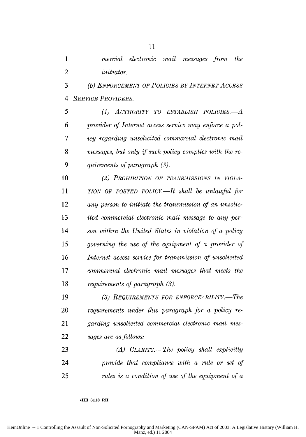*1 mercial electronic mail messages from the initiator.*

*(b) ENFORCEMENT OF POLICIES BY INTERNFT ACCESS SERVIcE PROVIDERS.-*

*(1) AUnORI1'Y TO ESTABLISH POLIcIES.-A 6 provider of Internet access service may enfbrce a pol-7 icy regarding unsolicited commercial electronic mail messages, but only if such policy complies with the re-quirements of paragraph (3).*

10 (2) PROHIBITION OF *TRANSMISSIONS IN VIOLA*-**II** *TION OF POSTED POLICY.-It shall be unlawfid fbr any person to initiate the transmission of an unsolic-ited commercial electronic mail message to any per-son within the United States in violation of a policy governing the use of the equipment of a provider of Internet access service jbr transmission of unsolicited commercial electronic mail messages that rmeets the requirements of paragraph (3).*

*(3) REQUIREMENTS FOR ENFORCEABILITY.-Ble requirements under this paragraph Jbr a policy re-garding unsolicited commercial electronic mail mes-sages are as Jbllows:*

*(A) CLARITY.-The policy shall explicitly provide that compliance with a rule or set of' rules is a condition of use* of *the equipment of a*

#### **HR 3113 RH**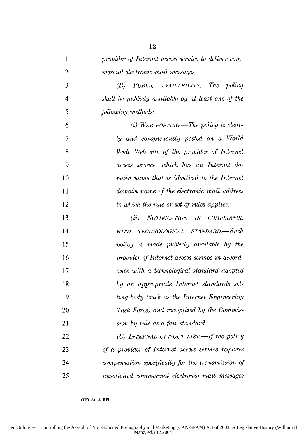| $\mathbf{1}$   | provider of Internet access service to deliver com- |
|----------------|-----------------------------------------------------|
| $\overline{2}$ | mercial electronic mail messages.                   |
| 3              | PUBLIC AVAILABILITY.-The policy<br>(B)              |
| 4              | shall be publicly available by at least one of the  |
| 5              | following methods:                                  |
| 6              | $(i)$ WEB POSTING.—The policy is clear-             |
| 7              | ly and conspicuously posted on a World              |
| 8              | Wide Web site of the provider of Internet           |
| 9              | access service, which has an Internet do-           |
| 10             | main name that is identical to the Internet         |
| 11             | domain name of the electronic mail address          |
| 12             | to which the rule or set of rules applies.          |
| 13             | (ii)<br>NOTIFICATION IN<br><b>COMPLIANCE</b>        |
| 14             | TECHNOLOGICAL STANDARD.—Such<br>WITH                |
| 15             | policy is made publicly available by the            |
| 16             | provider of Internet access service in accord-      |
| 17             | ance with a technological standard adopted          |
| 18             | by an appropriate Internet standards set-           |
| 19             | ting body (such as the Internet Engineering         |
| 20             | Task Force) and recognized by the Commis-           |
| 21             | sion by rule as a fair standard.                    |
| 22             | (C) INTERNAL OPT-OUT LIST.—If the policy            |
| 23             | of a provider of Internet access service requires   |
| 24             | compensation specifically for the transmission of   |
| 25             | unsolicited commercial electronic mail messages     |

**\*HR 3113 RH**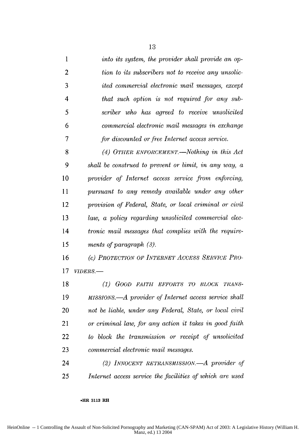*into its system, the provider shall provide an op-tion to its subscribers not to receive any unsolic-ited commercial electronic mail messages, except that such option is not required for any sub-5 scriber who has agreed to receive unsolicited 6 commercial electronic mail messages in exchange 7 fbr discounted or free Internet access service.*

**(4)** *OTHER ENFORCMENT.-Nothing in this Act 9 shall be construed to prevent or limit, in any way, a provider of Internet access service from enforcing, pursuant to any remedy available under any other provision of Federal, State, or local criminal or civil law, a policy regarding unsolicited commercial elec-tronic mail messages that complies with the require-ments of paragraph (3).*

*(c) PROTECTION Or INTERNET ACCESS SERVICE PIO-VIDERS.-*

18 (1) GOOD FAITH EFFORTS TO BLOCK TRANS-*MISSIONS.-A provider of Internet access service shall not be liable, under any Federal, State, or local civil* 21 or criminal law, for any action it takes in good faith *to block the transmission or receipt of unsolicited commercial electronic mail messages.*

*(2) INNOCENT RETRANSMISSION.—A provider of* 25 Internet access service the facilities of which are used

#### **-HR 3113 RH**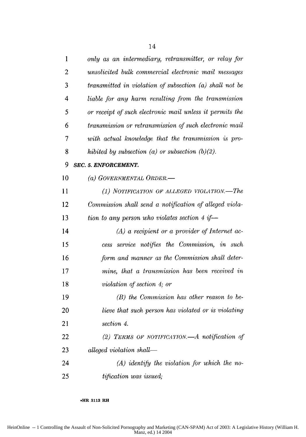| 1              | only as an intermediary, retransmitter, or relay for     |
|----------------|----------------------------------------------------------|
| $\overline{c}$ | unsolicited bulk commercial electronic mail messages     |
| 3              | transmitted in violation of subsection (a) shall not be  |
| 4              | liable for any harm resulting from the transmission      |
| 5              | or receipt of such electronic mail unless it permits the |
| 6              | transmission or retransmission of such electronic mail   |
| 7              | with actual knowledge that the transmission is pro-      |
| 8              | hibited by subsection (a) or subsection $(b)(2)$ .       |
| 9              | SEC. 5. ENFORCEMENT.                                     |
| 10             | (a) GOVERNMENTAL ORDER.-                                 |
| 11             | (1) NOTIFICATION OF ALLEGED VIOLATION.-The               |
| 12             | Commission shall send a notification of alleged viola-   |
| 13             | tion to any person who violates section 4 if-            |
| 14             | $(A)$ a recipient or a provider of Internet ac-          |
| 15             | service notifies the Commission, in such<br>cess         |
| 16             | form and manner as the Commission shall deter-           |
| 17             | mine, that a transmission has been received in           |
| 18             | violation of section 4; or                               |
| 19             | $(B)$ the Commission has other reason to be-             |
| 20             | lieve that such person has violated or is violating      |
| 21             | section 4.                                               |
| 22             | (2) TERMS OF NOTIFICATION. $-A$ notification of          |
| 23             | alleged violation shall—                                 |
| 24             | $(A)$ identify the violation for which the no-           |
| 25             | tification was issued;                                   |

#### **.HR 3113 RH**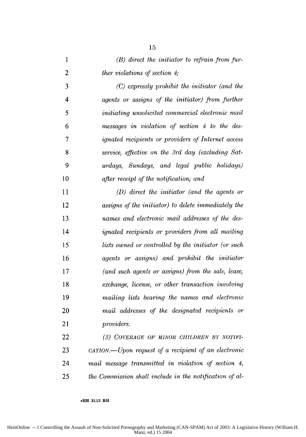| 1              | $(B)$ direct the initiator to refrain from fur-           |
|----------------|-----------------------------------------------------------|
| $\overline{2}$ | ther violations of section $4$ ;                          |
| 3              | $(C)$ expressly prohibit the initiator (and the           |
| 4              | agents or assigns of the initiator) from further          |
| 5              | initiating unsolicited commercial electronic mail         |
| 6              | messages in violation of section 4 to the des-            |
| 7              | <i>ignated recipients or providers of Internet access</i> |
| 8              | service, effective on the 3rd day (excluding Sat-         |
| 9              | urdays, Sundays, and legal public holidays)               |
| 10             | after receipt of the notification, and                    |
| 11             | $(D)$ direct the initiator (and the agents or             |
| 12             | assigns of the initiator) to delete immediately the       |
| 13             | names and electronic mail addresses of the des-           |
| 14             | ignated recipients or providers from all mailing          |
| 15             | lists owned or controlled by the initiator (or such       |
| 16             | agents or assigns) and prohibit the initiator             |

*(3) COVERAGE OF MINOR CHILDREN BY NOTIFY-CATIN.-Upon request of a recipient of an electronic mail message transmitted in violation of section 4, the Commission shall include in the notification of al-*

*(and such agents or assigns) from the sale, lease,*

*exchange, license, or other transaction involving*

*mailing lists bearing the names and electronic*

*mail addresses qf the designated recipients or*

*providers.*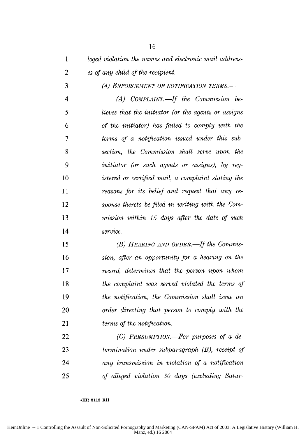| $\mathbf{1}$ | leged violation the names and electronic mail address- |
|--------------|--------------------------------------------------------|
| 2            | es of any child of the recipient.                      |
| 3            | (4) ENFORCEMENT OF NOTIFICATION TERMS.-                |
| 4            | $(A)$ COMPLAINT. $\Box$ If the Commission be-          |
| 5            | lieves that the initiator (or the agents or assigns    |
| 6            | of the initiator) has failed to comply with the        |
| 7            | terms of a notification issued under this sub-         |
| 8            | section, the Commission shall serve upon the           |
| 9            | initiator (or such agents or assigns), by reg-         |
| 10           | istered or certified mail, a complaint stating the     |
| 11           | reasons for its belief and request that any re-        |
| 12           | sponse thereto be filed in writing with the Com-       |
| 13           | mission within 15 days after the date of such          |
| 14           | service.                                               |
| 15           | (B) HEARING AND ORDER.-If the Commis-                  |
| 16           | sion, after an opportunity for a hearing on the        |
| 17           | record, determines that the person upon whom           |
| 18           | the complaint was served violated the terms of         |
| 19           | the notification, the Commission shall issue an        |
| 20           | order directing that person to comply with the         |
| 21           | terms of the notification.                             |
| 22           | (C) PRESUMPTION.—For purposes of a de-                 |
| 23           | termination under subparagraph $(B)$ , receipt of      |

*of alleged violation 30 days (excluding Satur-*

*any transmission in violation of a notification*

**.HR 3113 RH**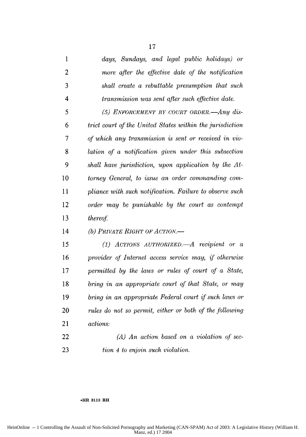*days, Sundays, and legal public holidays) or more after the effective date of the notification shall create a rebuttable presumption that such 4 transmission was sent after such effective date.*

*(.5) ENFORCEMENT BY COURT ORDER.-Any dis-6 trict court of the United States within the jurisdiction 7 of which any transmission is sent or received in vio-lation of a notification given under this subsection 9 shall have jurisdiction, upon application by the At-torney General, to issue an order commanding cor-S1 pliance with such notification. Failure to observe such order may be punishable by the court as contempt thereof*

*(b) PRIVATE RIGH'1' OF ACTION.-*

*(1) ACTIONS AUTHORIZED.-A recipient or a 16 provider of Internet access service may, if otherwise permitted by the laws or rules of court of a State, bring in an appropriate court qf that State, or may bring in an appropriate Federal court if such laws or rules do not so permit, either or both of the jbllowing actions:*

*(A) An action based on a violation of sec-tion 4 to enjoin such violation.*

#### **.HR 3113 RH**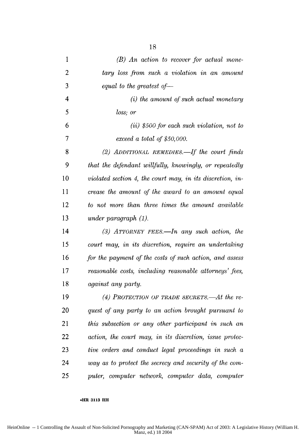| $\mathbf{1}$            | $(B)$ An action to recover for actual mone-               |
|-------------------------|-----------------------------------------------------------|
| $\overline{2}$          | tary loss from such a violation in an amount              |
| 3                       | equal to the greatest of $-$                              |
| $\overline{\mathbf{4}}$ | (i) the amount of such actual monetary                    |
| 5                       | loss; or                                                  |
| 6                       | $(ii)$ \$500 for each such violation, not to              |
| 7                       | exceed a total of $$50,000$ .                             |
| 8                       | (2) ADDITIONAL REMEDIES.-If the court finds               |
| 9                       | that the defendant willfully, knowingly, or repeatedly    |
| 10                      | violated section 4, the court may, in its discretion, in- |
| 11                      | crease the amount of the award to an amount equal         |
| 12                      | to not more than three times the amount available         |
| 13                      | under paragraph $(1)$ .                                   |
| 14                      | (3) ATTORNEY FEES.—In any such action, the                |
| 15                      | court may, in its discretion, require an undertaking      |
| 16                      | for the payment of the costs of such action, and assess   |
| 17                      | reasonable costs, including reasonable attorneys' fees,   |
| 18                      | against any party.                                        |
| 19                      | (4) PROTECTION OF TRADE SECRETS.—At the re-               |
| 20                      | quest of any party to an action brought pursuant to       |
| 21                      | this subsection or any other participant in such an       |
| 22                      | action, the court may, in its discretion, issue protec-   |
| 23                      | tive orders and conduct legal proceedings in such a       |
| 24                      | way as to protect the secrecy and security of the com-    |
| 25                      | puter, computer network, computer data, computer          |

#### **-HR 3113 RH**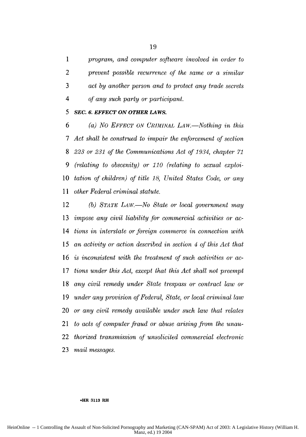*program, and computer software involved in order to prevent possible recurrence of the same or a similar act by another person and to protect any trade secrets 4 of any such party or participant.*

#### *SEC. 6. EFFECT ON OTHER LAWS.*

*6 (a) No EFFECT ON CRIMINAL LAw.-Nothing in this Act shall be construed to impair the enJbrcement qf section 223 or 231 of the Communications Act of 1934, chapter 71 9 (relating to obscenity) or 110 (relating to sexual exploi-tation of children) of title 18, United States Code, or any other Federal criminal statute.*

*(b) STATE LAw.-No State or local government may impose any civil liability for commercial activities or ac-tions in interstate or Jbreign commerce in connection with an activity or action described in section 4 of this Act that is inconsistent with the treatment of such activities or ac-tions under this Act, except that this Act shall not preempt any civil remedy under State trespass or contract law or under any provision qfFederal, State, or local criminal law or any civil remedy available under such law that relates to acts of computer fraud or abuse arising from the unau-thorized transmission of unsolicited commercial electronic mail messages.*

#### **oHR 3113 RH**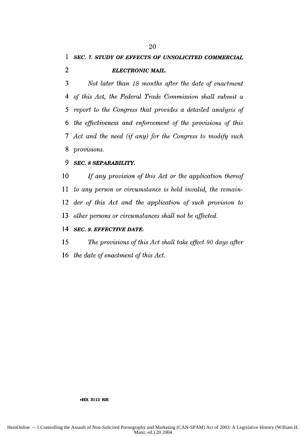**1** *SEC. 7. STUDY OF EFFECTS OF UNSOLICITED COMMERCIAL* 2 *ELECTRONIC MAIL.*

3 *Not later than 18 months after the date of enactment 4 of this Act, the Federal Trade Commission shall submit a 5 report to the Congress that provides a detailed analysis of 6 the effectiveness and en]breement of the provisions of this 7 Act and the need (if any) for the Congress to modify such* 8 *provisions.*

#### *9 SEC. 8 SEPARABILITY.*

*If any provision of this Act or the application thereof to any person or circumstance is held invalid, the remain-der of this Act and the application of such provision to other persons or circumstances shall not be affected.*

#### 14 *SEC. 9. EFFECTIVE DATE.*

**<sup>15</sup>***The provisions of this Act shall take effrct 90 days after* 16 the date of enactment of this Act.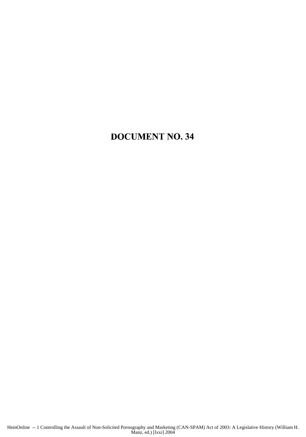## DOCUMENT NO. 34